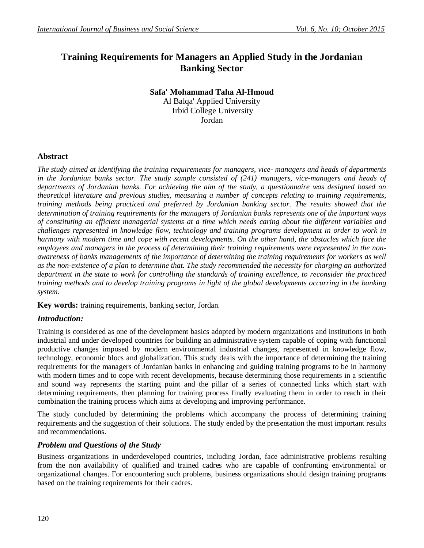# **Training Requirements for Managers an Applied Study in the Jordanian Banking Sector**

**Safa' Mohammad Taha Al-Hmoud** Al Balqa' Applied University Irbid College University Jordan

# **Abstract**

*The study aimed at identifying the training requirements for managers, vice- managers and heads of departments in the Jordanian banks sector. The study sample consisted of (241) managers, vice-managers and heads of departments of Jordanian banks. For achieving the aim of the study, a questionnaire was designed based on theoretical literature and previous studies, measuring a number of concepts relating to training requirements, training methods being practiced and preferred by Jordanian banking sector. The results showed that the determination of training requirements for the managers of Jordanian banks represents one of the important ways of constituting an efficient managerial systems at a time which needs caring about the different variables and challenges represented in knowledge flow, technology and training programs development in order to work in harmony with modern time and cope with recent developments. On the other hand, the obstacles which face the employees and managers in the process of determining their training requirements were represented in the nonawareness of banks managements of the importance of determining the training requirements for workers as well as the non-existence of a plan to determine that. The study recommended the necessity for charging an authorized department in the state to work for controlling the standards of training excellence, to reconsider the practiced training methods and to develop training programs in light of the global developments occurring in the banking system.*

**Key words:** training requirements, banking sector, Jordan.

# *Introduction:*

Training is considered as one of the development basics adopted by modern organizations and institutions in both industrial and under developed countries for building an administrative system capable of coping with functional productive changes imposed by modern environmental industrial changes, represented in knowledge flow, technology, economic blocs and globalization. This study deals with the importance of determining the training requirements for the managers of Jordanian banks in enhancing and guiding training programs to be in harmony with modern times and to cope with recent developments, because determining those requirements in a scientific and sound way represents the starting point and the pillar of a series of connected links which start with determining requirements, then planning for training process finally evaluating them in order to reach in their combination the training process which aims at developing and improving performance.

The study concluded by determining the problems which accompany the process of determining training requirements and the suggestion of their solutions. The study ended by the presentation the most important results and recommendations.

# *Problem and Questions of the Study*

Business organizations in underdeveloped countries, including Jordan, face administrative problems resulting from the non availability of qualified and trained cadres who are capable of confronting environmental or organizational changes. For encountering such problems, business organizations should design training programs based on the training requirements for their cadres.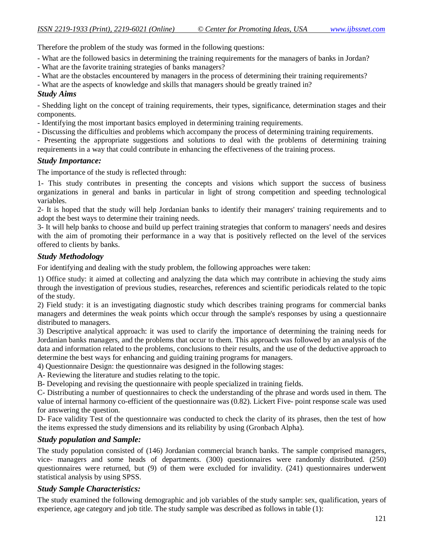Therefore the problem of the study was formed in the following questions:

- What are the followed basics in determining the training requirements for the managers of banks in Jordan?
- What are the favorite training strategies of banks managers?
- What are the obstacles encountered by managers in the process of determining their training requirements?
- What are the aspects of knowledge and skills that managers should be greatly trained in?

## *Study Aims*

- Shedding light on the concept of training requirements, their types, significance, determination stages and their components.

- Identifying the most important basics employed in determining training requirements.

- Discussing the difficulties and problems which accompany the process of determining training requirements.

- Presenting the appropriate suggestions and solutions to deal with the problems of determining training requirements in a way that could contribute in enhancing the effectiveness of the training process.

#### *Study Importance:*

The importance of the study is reflected through:

1- This study contributes in presenting the concepts and visions which support the success of business organizations in general and banks in particular in light of strong competition and speeding technological variables.

2- It is hoped that the study will help Jordanian banks to identify their managers' training requirements and to adopt the best ways to determine their training needs.

3- It will help banks to choose and build up perfect training strategies that conform to managers' needs and desires with the aim of promoting their performance in a way that is positively reflected on the level of the services offered to clients by banks.

#### *Study Methodology*

For identifying and dealing with the study problem, the following approaches were taken:

1) Office study: it aimed at collecting and analyzing the data which may contribute in achieving the study aims through the investigation of previous studies, researches, references and scientific periodicals related to the topic of the study.

2) Field study: it is an investigating diagnostic study which describes training programs for commercial banks managers and determines the weak points which occur through the sample's responses by using a questionnaire distributed to managers.

3) Descriptive analytical approach: it was used to clarify the importance of determining the training needs for Jordanian banks managers, and the problems that occur to them. This approach was followed by an analysis of the data and information related to the problems, conclusions to their results, and the use of the deductive approach to determine the best ways for enhancing and guiding training programs for managers.

4) Questionnaire Design: the questionnaire was designed in the following stages:

A- Reviewing the literature and studies relating to the topic.

B- Developing and revising the questionnaire with people specialized in training fields.

C- Distributing a number of questionnaires to check the understanding of the phrase and words used in them. The value of internal harmony co-efficient of the questionnaire was (0.82). Lickert Five- point response scale was used for answering the question.

D- Face validity Test of the questionnaire was conducted to check the clarity of its phrases, then the test of how the items expressed the study dimensions and its reliability by using (Gronbach Alpha).

#### *Study population and Sample:*

The study population consisted of (146) Jordanian commercial branch banks. The sample comprised managers, vice- managers and some heads of departments. (300) questionnaires were randomly distributed. (250) questionnaires were returned, but (9) of them were excluded for invalidity. (241) questionnaires underwent statistical analysis by using SPSS.

#### *Study Sample Characteristics:*

The study examined the following demographic and job variables of the study sample: sex, qualification, years of experience, age category and job title. The study sample was described as follows in table (1):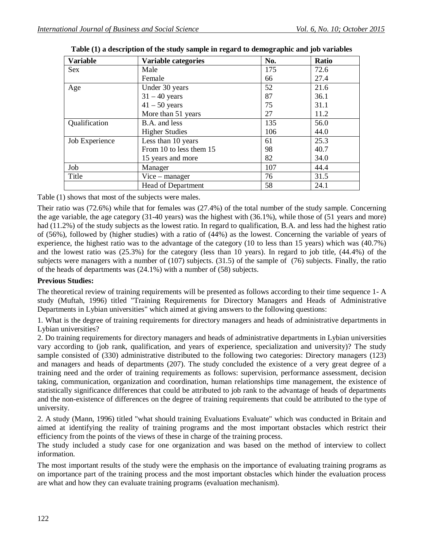| <b>Variable</b> | <b>Variable categories</b> | No. | <b>Ratio</b> |
|-----------------|----------------------------|-----|--------------|
| <b>Sex</b>      | Male                       | 175 | 72.6         |
|                 | Female                     | 66  | 27.4         |
| Age             | Under 30 years             | 52  | 21.6         |
|                 | $31 - 40$ years            | 87  | 36.1         |
|                 | $41 - 50$ years            | 75  | 31.1         |
|                 | More than 51 years         | 27  | 11.2         |
| Qualification   | B.A. and less              | 135 | 56.0         |
|                 | <b>Higher Studies</b>      | 106 | 44.0         |
| Job Experience  | Less than 10 years         | 61  | 25.3         |
|                 | From 10 to less them 15    | 98  | 40.7         |
|                 | 15 years and more          | 82  | 34.0         |
| Job             | Manager                    | 107 | 44.4         |
| Title           | Vice – manager             | 76  | 31.5         |
|                 | <b>Head of Department</b>  | 58  | 24.1         |

**Table (1) a description of the study sample in regard to demographic and job variables**

Table (1) shows that most of the subjects were males.

Their ratio was (72.6%) while that for females was (27.4%) of the total number of the study sample. Concerning the age variable, the age category (31-40 years) was the highest with (36.1%), while those of (51 years and more) had (11.2%) of the study subjects as the lowest ratio. In regard to qualification, B.A. and less had the highest ratio of (56%), followed by (higher studies) with a ratio of (44%) as the lowest. Concerning the variable of years of experience, the highest ratio was to the advantage of the category (10 to less than 15 years) which was (40.7%) and the lowest ratio was (25.3%) for the category (less than 10 years). In regard to job title, (44.4%) of the subjects were managers with a number of (107) subjects. (31.5) of the sample of (76) subjects. Finally, the ratio of the heads of departments was (24.1%) with a number of (58) subjects.

#### **Previous Studies:**

The theoretical review of training requirements will be presented as follows according to their time sequence 1- A study (Muftah, 1996) titled "Training Requirements for Directory Managers and Heads of Administrative Departments in Lybian universities" which aimed at giving answers to the following questions:

1. What is the degree of training requirements for directory managers and heads of administrative departments in Lybian universities?

2. Do training requirements for directory managers and heads of administrative departments in Lybian universities vary according to (job rank, qualification, and years of experience, specialization and university)? The study sample consisted of (330) administrative distributed to the following two categories: Directory managers (123) and managers and heads of departments (207). The study concluded the existence of a very great degree of a training need and the order of training requirements as follows: supervision, performance assessment, decision taking, communication, organization and coordination, human relationships time management, the existence of statistically significance differences that could be attributed to job rank to the advantage of heads of departments and the non-existence of differences on the degree of training requirements that could be attributed to the type of university.

2. A study (Mann, 1996) titled "what should training Evaluations Evaluate" which was conducted in Britain and aimed at identifying the reality of training programs and the most important obstacles which restrict their efficiency from the points of the views of these in charge of the training process.

The study included a study case for one organization and was based on the method of interview to collect information.

The most important results of the study were the emphasis on the importance of evaluating training programs as on importance part of the training process and the most important obstacles which hinder the evaluation process are what and how they can evaluate training programs (evaluation mechanism).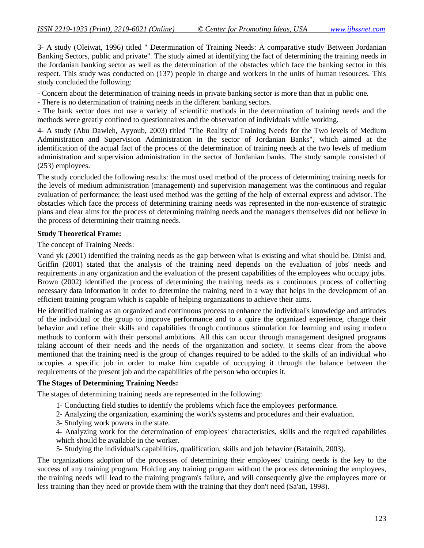3- A study (Oleiwat, 1996) titled " Determination of Training Needs: A comparative study Between Jordanian Banking Sectors, public and private". The study aimed at identifying the fact of determining the training needs in the Jordanian banking sector as well as the determination of the obstacles which face the banking sector in this respect. This study was conducted on (137) people in charge and workers in the units of human resources. This study concluded the following:

- Concern about the determination of training needs in private banking sector is more than that in public one.

- There is no determination of training needs in the different banking sectors.

- The bank sector does not use a variety of scientific methods in the determination of training needs and the methods were greatly confined to questionnaires and the observation of individuals while working.

4- A study (Abu Dawleh, Ayyoub, 2003) titled "The Reality of Training Needs for the Two levels of Medium Administration and Supervision Administration in the sector of Jordanian Banks", which aimed at the identification of the actual fact of the process of the determination of training needs at the two levels of medium administration and supervision administration in the sector of Jordanian banks. The study sample consisted of (253) employees.

The study concluded the following results: the most used method of the process of determining training needs for the levels of medium administration (management) and supervision management was the continuous and regular evaluation of performance; the least used method was the getting of the help of external express and advisor. The obstacles which face the process of determining training needs was represented in the non-existence of strategic plans and clear aims for the process of determining training needs and the managers themselves did not believe in the process of determining their training needs.

#### **Study Theoretical Frame:**

The concept of Training Needs:

Vand yk (2001) identified the training needs as the gap between what is existing and what should be. Dinisi and, Griffin (2001) stated that the analysis of the training need depends on the evaluation of jobs' needs and requirements in any organization and the evaluation of the present capabilities of the employees who occupy jobs. Brown (2002) identified the process of determining the training needs as a continuous process of collecting necessary data information in order to determine the training need in a way that helps in the development of an efficient training program which is capable of helping organizations to achieve their aims.

He identified training as an organized and continuous process to enhance the individual's knowledge and attitudes of the individual or the group to improve performance and to a quire the organized experience, change their behavior and refine their skills and capabilities through continuous stimulation for learning and using modern methods to conform with their personal ambitions. All this can occur through management designed programs taking account of their needs and the needs of the organization and society. It seems clear from the above mentioned that the training need is the group of changes required to be added to the skills of an individual who occupies a specific job in order to make him capable of occupying it through the balance between the requirements of the present job and the capabilities of the person who occupies it.

#### **The Stages of Determining Training Needs:**

The stages of determining training needs are represented in the following:

- 1- Conducting field studies to identify the problems which face the employees' performance.
- 2- Analyzing the organization, examining the work's systems and procedures and their evaluation.
- 3- Studying work powers in the state.

4- Analyzing work for the determination of employees' characteristics, skills and the required capabilities which should be available in the worker.

5- Studying the individual's capabilities, qualification, skills and job behavior (Batainih, 2003).

The organizations adoption of the processes of determining their employees' training needs is the key to the success of any training program. Holding any training program without the process determining the employees, the training needs will lead to the training program's failure, and will consequently give the employees more or less training than they need or provide them with the training that they don't need (Sa'ati, 1998).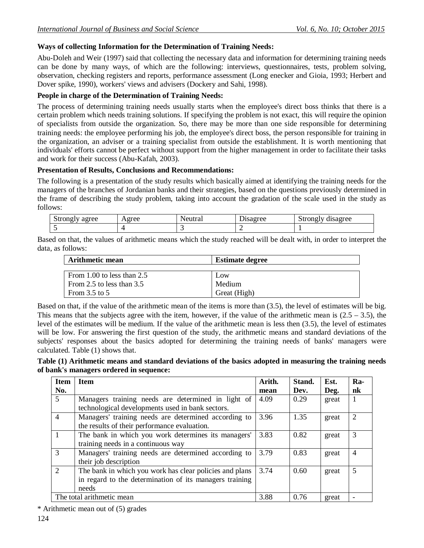## **Ways of collecting Information for the Determination of Training Needs:**

Abu-Doleh and Weir (1997) said that collecting the necessary data and information for determining training needs can be done by many ways, of which are the following: interviews, questionnaires, tests, problem solving, observation, checking registers and reports, performance assessment (Long enecker and Gioia, 1993; Herbert and Dover spike, 1990), workers' views and advisers (Dockery and Sahi, 1998).

### **People in charge of the Determination of Training Needs:**

The process of determining training needs usually starts when the employee's direct boss thinks that there is a certain problem which needs training solutions. If specifying the problem is not exact, this will require the opinion of specialists from outside the organization. So, there may be more than one side responsible for determining training needs: the employee performing his job, the employee's direct boss, the person responsible for training in the organization, an adviser or a training specialist from outside the establishment. It is worth mentioning that individuals' efforts cannot be perfect without support from the higher management in order to facilitate their tasks and work for their success (Abu-Kafah, 2003).

#### **Presentation of Results, Conclusions and Recommendations:**

The following is a presentation of the study results which basically aimed at identifying the training needs for the managers of the branches of Jordanian banks and their strategies, based on the questions previously determined in the frame of describing the study problem, taking into account the gradation of the scale used in the study as follows:

| agree<br>$\sim$ UQIIE $\sim$<br>иν. | . oree<br>ALLU | a oree<br>$L_{\rm LDA}$<br>u | . .<br>disagree<br>ðШ<br>.OH? |
|-------------------------------------|----------------|------------------------------|-------------------------------|
|                                     |                | -                            |                               |

Based on that, the values of arithmetic means which the study reached will be dealt with, in order to interpret the data, as follows:

| <b>Arithmetic mean</b>         | <b>Estimate degree</b> |
|--------------------------------|------------------------|
|                                |                        |
| From $1.00$ to less than $2.5$ | Low                    |
| From 2.5 to less than 3.5      | Medium                 |
| From $3.5$ to $5$              | Great (High)           |

Based on that, if the value of the arithmetic mean of the items is more than (3.5), the level of estimates will be big. This means that the subjects agree with the item, however, if the value of the arithmetic mean is  $(2.5 - 3.5)$ , the level of the estimates will be medium. If the value of the arithmetic mean is less then (3.5), the level of estimates will be low. For answering the first question of the study, the arithmetic means and standard deviations of the subjects' responses about the basics adopted for determining the training needs of banks' managers were calculated. Table (1) shows that.

**Table (1) Arithmetic means and standard deviations of the basics adopted in measuring the training needs of bank's managers ordered in sequence:**

| <b>Item</b>    | <b>Item</b>                                             | Arith. | Stand. | Est.  | Ra-            |
|----------------|---------------------------------------------------------|--------|--------|-------|----------------|
| No.            |                                                         | mean   | Dev.   | Deg.  | nk             |
| $\overline{5}$ | Managers training needs are determined in light of      | 4.09   | 0.29   | great |                |
|                | technological developments used in bank sectors.        |        |        |       |                |
| $\overline{4}$ | Managers' training needs are determined according to    | 3.96   | 1.35   | great | 2              |
|                | the results of their performance evaluation.            |        |        |       |                |
| $\overline{1}$ | The bank in which you work determines its managers'     | 3.83   | 0.82   | great | 3              |
|                | training needs in a continuous way                      |        |        |       |                |
| $\overline{3}$ | Managers' training needs are determined according to    | 3.79   | 0.83   | great | $\overline{4}$ |
|                | their job description                                   |        |        |       |                |
| $\overline{2}$ | The bank in which you work has clear policies and plans | 3.74   | 0.60   | great | 5              |
|                | in regard to the determination of its managers training |        |        |       |                |
|                | needs                                                   |        |        |       |                |
|                | The total arithmetic mean                               | 3.88   | 0.76   | great |                |

\* Arithmetic mean out of (5) grades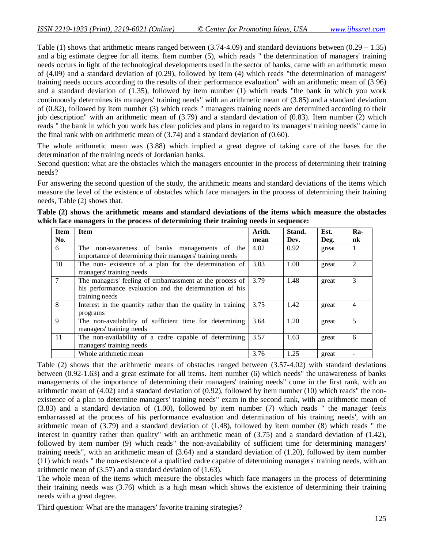Table (1) shows that arithmetic means ranged between (3.74-4.09) and standard deviations between (0.29 – 1.35) and a big estimate degree for all items. Item number (5), which reads " the determination of managers' training needs occurs in light of the technological developments used in the sector of banks, came with an arithmetic mean of (4.09) and a standard deviation of (0.29), followed by item (4) which reads "the determination of managers' training needs occurs according to the results of their performance evaluation" with an arithmetic mean of (3.96) and a standard deviation of (1.35), followed by item number (1) which reads "the bank in which you work continuously determines its managers' training needs" with an arithmetic mean of (3.85) and a standard deviation of (0.82), followed by item number (3) which reads " managers training needs are determined according to their job description" with an arithmetic mean of (3.79) and a standard deviation of (0.83). Item number (2) which reads " the bank in which you work has clear policies and plans in regard to its managers' training needs" came in the final rank with on arithmetic mean of  $(3.74)$  and a standard deviation of  $(0.60)$ .

The whole arithmetic mean was (3.88) which implied a great degree of taking care of the bases for the determination of the training needs of Jordanian banks.

Second question: what are the obstacles which the managers encounter in the process of determining their training needs?

For answering the second question of the study, the arithmetic means and standard deviations of the items which measure the level of the existence of obstacles which face managers in the process of determining their training needs, Table (2) shows that.

|  | Table (2) shows the arithmetic means and standard deviations of the items which measure the obstacles |  |  |  |  |  |
|--|-------------------------------------------------------------------------------------------------------|--|--|--|--|--|
|  | which face managers in the process of determining their training needs in sequence:                   |  |  |  |  |  |

| <b>Item</b>    | <b>Item</b>                                                  | Arith. | Stand. | Est.  | Ra-            |
|----------------|--------------------------------------------------------------|--------|--------|-------|----------------|
| No.            |                                                              | mean   | Dev.   | Deg.  | nk             |
| 6              | non-awareness of banks managements of the<br>The T           | 4.02   | 0.92   | great |                |
|                | importance of determining their managers' training needs     |        |        |       |                |
| 10             | The non-existence of a plan for the determination of         | 3.83   | 1.00   | great | $\mathfrak{D}$ |
|                | managers' training needs                                     |        |        |       |                |
| $\overline{7}$ | The managers' feeling of embarrassment at the process of     | 3.79   | 1.48   | great | 3              |
|                | his performance evaluation and the determination of his      |        |        |       |                |
|                | training needs                                               |        |        |       |                |
| 8              | Interest in the quantity rather than the quality in training | 3.75   | 1.42   | great | $\overline{4}$ |
|                | programs                                                     |        |        |       |                |
| 9              | The non-availability of sufficient time for determining      | 3.64   | 1.20   | great | 5              |
|                | managers' training needs                                     |        |        |       |                |
| 11             | The non-availability of a cadre capable of determining       | 3.57   | 1.63   | great | 6              |
|                | managers' training needs                                     |        |        |       |                |
|                | Whole arithmetic mean                                        | 3.76   | 1.25   | great |                |

Table (2) shows that the arithmetic means of obstacles ranged between (3.57-4.02) with standard deviations between (0.92-1.63) and a great estimate for all items. Item number (6) which needs" the unawareness of banks managements of the importance of determining their managers' training needs" come in the first rank, with an arithmetic mean of (4.02) and a standard deviation of (0.92), followed by item number (10) which reads" the nonexistence of a plan to determine managers' training needs" exam in the second rank, with an arithmetic mean of (3.83) and a standard deviation of (1.00), followed by item number (7) which reads " the manager feels embarrassed at the process of his performance evaluation and determination of his training needs', with an arithmetic mean of (3.79) and a standard deviation of (1.48), followed by item number (8) which reads " the interest in quantity rather than quality" with an arithmetic mean of (3.75) and a standard deviation of (1.42), followed by item number (9) which reads" the non-availability of sufficient time for determining managers' training needs", with an arithmetic mean of (3.64) and a standard deviation of (1.20), followed by item number (11) which reads " the non-existence of a qualified cadre capable of determining managers' training needs, with an arithmetic mean of (3.57) and a standard deviation of (1.63).

The whole mean of the items which measure the obstacles which face managers in the process of determining their training needs was (3.76) which is a high mean which shows the existence of determining their training needs with a great degree.

Third question: What are the managers' favorite training strategies?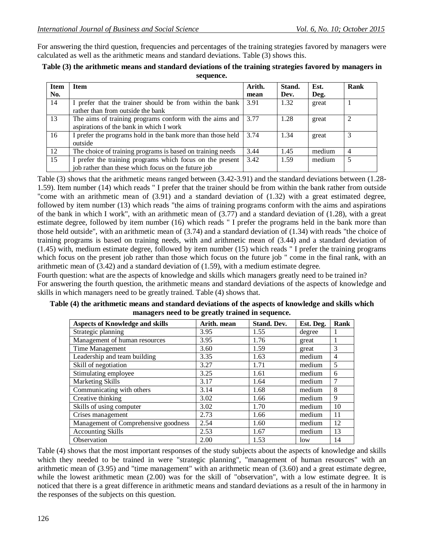For answering the third question, frequencies and percentages of the training strategies favored by managers were calculated as well as the arithmetic means and standard deviations. Table (3) shows this.

| Table (3) the arithmetic means and standard deviations of the training strategies favored by managers in |
|----------------------------------------------------------------------------------------------------------|
| sequence.                                                                                                |

| <b>Item</b> | <b>Item</b>                                                 | Arith. | Stand. | Est.   | Rank           |
|-------------|-------------------------------------------------------------|--------|--------|--------|----------------|
| No.         |                                                             | mean   | Dev.   | Deg.   |                |
| 14          | I prefer that the trainer should be from within the bank    | 3.91   | 1.32   | great  |                |
|             | rather than from outside the bank                           |        |        |        |                |
| 13          | The aims of training programs conform with the aims and     | 3.77   | 1.28   | great  | 2              |
|             | aspirations of the bank in which I work                     |        |        |        |                |
| 16          | I prefer the programs hold in the bank more than those held | 3.74   | 1.34   | great  | 3              |
|             | outside                                                     |        |        |        |                |
| 12          | The choice of training programs is based on training needs  | 3.44   | 1.45   | medium | $\overline{4}$ |
| 15          | I prefer the training programs which focus on the present   | 3.42   | 1.59   | medium | 5              |
|             | job rather than these which focus on the future job         |        |        |        |                |

Table (3) shows that the arithmetic means ranged between (3.42-3.91) and the standard deviations between (1.28- 1.59). Item number (14) which reads " I prefer that the trainer should be from within the bank rather from outside "come with an arithmetic mean of (3.91) and a standard deviation of (1.32) with a great estimated degree, followed by item number (13) which reads "the aims of training programs conform with the aims and aspirations of the bank in which I work", with an arithmetic mean of (3.77) and a standard deviation of (1.28), with a great estimate degree, followed by item number (16) which reads " I prefer the programs held in the bank more than those held outside", with an arithmetic mean of (3.74) and a standard deviation of (1.34) with reads "the choice of training programs is based on training needs, with and arithmetic mean of (3.44) and a standard deviation of (1.45) with, medium estimate degree, followed by item number (15) which reads " I prefer the training programs which focus on the present job rather than those which focus on the future job " come in the final rank, with an arithmetic mean of (3.42) and a standard deviation of (1.59), with a medium estimate degree.

Fourth question: what are the aspects of knowledge and skills which managers greatly need to be trained in? For answering the fourth question, the arithmetic means and standard deviations of the aspects of knowledge and skills in which managers need to be greatly trained. Table (4) shows that.

| Table (4) the arithmetic means and standard deviations of the aspects of knowledge and skills which |
|-----------------------------------------------------------------------------------------------------|
| managers need to be greatly trained in sequence.                                                    |

| <b>Aspects of Knowledge and skills</b> | Arith. mean | <b>Stand. Dev.</b> | Est. Deg. | Rank           |
|----------------------------------------|-------------|--------------------|-----------|----------------|
| Strategic planning                     | 3.95        | 1.55               | degree    |                |
| Management of human resources          | 3.95        | 1.76               | great     |                |
| Time Management                        | 3.60        | 1.59               | great     | 3              |
| Leadership and team building           | 3.35        | 1.63               | medium    | $\overline{4}$ |
| Skill of negotiation                   | 3.27        | 1.71               | medium    | 5              |
| Stimulating employee                   | 3.25        | 1.61               | medium    | 6              |
| <b>Marketing Skills</b>                | 3.17        | 1.64               | medium    | 7              |
| Communicating with others              | 3.14        | 1.68               | medium    | 8              |
| Creative thinking                      | 3.02        | 1.66               | medium    | 9              |
| Skills of using computer               | 3.02        | 1.70               | medium    | 10             |
| Crises management                      | 2.73        | 1.66               | medium    | 11             |
| Management of Comprehensive goodness   | 2.54        | 1.60               | medium    | 12             |
| <b>Accounting Skills</b>               | 2.53        | 1.67               | medium    | 13             |
| Observation                            | 2.00        | 1.53               | low       | 14             |

Table (4) shows that the most important responses of the study subjects about the aspects of knowledge and skills which they needed to be trained in were "strategic planning", "management of human resources" with an arithmetic mean of (3.95) and "time management" with an arithmetic mean of (3.60) and a great estimate degree, while the lowest arithmetic mean (2.00) was for the skill of "observation", with a low estimate degree. It is noticed that there is a great difference in arithmetic means and standard deviations as a result of the in harmony in the responses of the subjects on this question.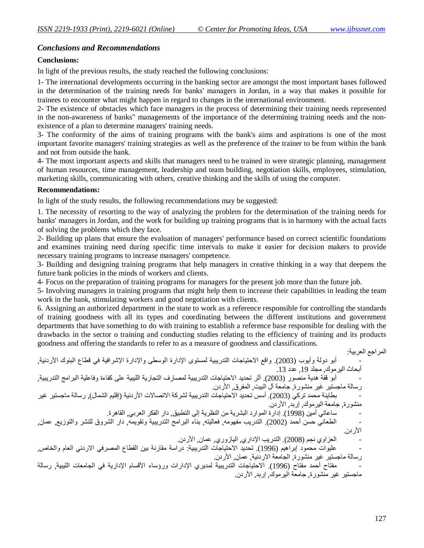#### *Conclusions and Recommendations*

#### **Conclusions:**

In light of the previous results, the study reached the following conclusions:

1- The international developments occurring in the banking sector are amongst the most important bases followed in the determination of the training needs for banks' managers in Jordan, in a way that makes it possible for trainees to encounter what might happen in regard to changes in the international environment.

2- The existence of obstacles which face managers in the process of determining their training needs represented in the non-awareness of banks" managements of the importance of the determining training needs and the nonexistence of a plan to determine managers' training needs.

3- The conformity of the aims of training programs with the bank's aims and aspirations is one of the most important favorite managers' training strategies as well as the preference of the trainer to be from within the bank and not from outside the bank.

4- The most important aspects and skills that managers need to be trained in were strategic planning, management of human resources, time management, leadership and team building, negotiation skills, employees, stimulation, marketing skills, communicating with others, creative thinking and the skills of using the computer.

#### **Recommendations:**

In light of the study results, the following recommendations may be suggested:

1. The necessity of resorting to the way of analyzing the problem for the determination of the training needs for banks' managers in Jordan, and the work for building up training programs that is in harmony with the actual facts of solving the problems which they face.

2- Building up plans that ensure the evaluation of managers' performance based on correct scientific foundations and examines training need during specific time intervals to make it easier for decision makers to provide necessary training programs to increase managers' competence.

3- Building and designing training programs that help managers in creative thinking in a way that deepens the future bank policies in the minds of workers and clients.

4- Focus on the preparation of training programs for managers for the present job more than the future job.

5- Involving managers in training programs that might help them to increase their capabilities in leading the team work in the bank, stimulating workers and good negotiation with clients.

6. Assigning an authorized department in the state to work as a reference responsible for controlling the standards of training goodness with all its types and coordinating between the different institutions and government departments that have something to do with training to establish a reference base responsible for dealing with the drawbacks in the sector o training and conducting studies relating to the efficiency of training and its products goodness and offering the standards to refer to as a measure of goodness and classifications.

المراجع العربیة: - أبو دولة وأیوب (2003). واقع الاحتیاجات التدریبیة لمستوى الإدارة الوسطى والإدارة الإشرافیة في قطاع البنوك الأردنیة, أبحاث الیرموك, مجلد ,19 عدد .13 - أبو قفة ھدیة منصور (2003). أثر تحدید الاحتیاجات التدریبیة لمصارف التجاریة اللیبیة على كفاءة وفاعلیة البرامج التدریبیة, رسالة ماجستیر غیر منشورة, جامعة آل البیت, المفرق, الأردن. - بطاینة محمد تركي (2003). أسس تحدید الاحتیاجات التدریبیة لشركة الاتصالات الأردنیة (إقلیم الشمال), رسالة ماجستیر غیر منشورة, جامعة الیرموك, إربد, الأردن. - ساعاتي أمین (1998). إدارة الموارد البشریة من النظریة إلى التطبیق, دار الفكر العربي, القاھرة. - الطعاني حسن أحمد (2002). التدریب مفھومھ, فعالیتھ, بناء البرامج التدریبیة وتقویمھ, دار الشروق للنشر والتوزیع, عمان, الأردن. - العزاوي نجم (2008). التدریب الإداري, الیازوري, عمان, الأردن. - علیوات محمود إبراھیم (1996). تحدید الاحتیاجات التدریبیة: دراسة مقارنة بین القطاع المصرفي الاردني العام والخاص, رسالة ماجستیر غیر منشورة, الجامعة الاردنیة, عمان, الأردن. - مفتاح أحمد مفتاح (1996). الاحتیاجات التدریبیة لمدیري الإدارات ورؤساء الأقسام الإداریة في الجامعات اللیبیة, رسالة ماجستیر غیر منشورة, جامعة الیرموك, إربد, الأردن.